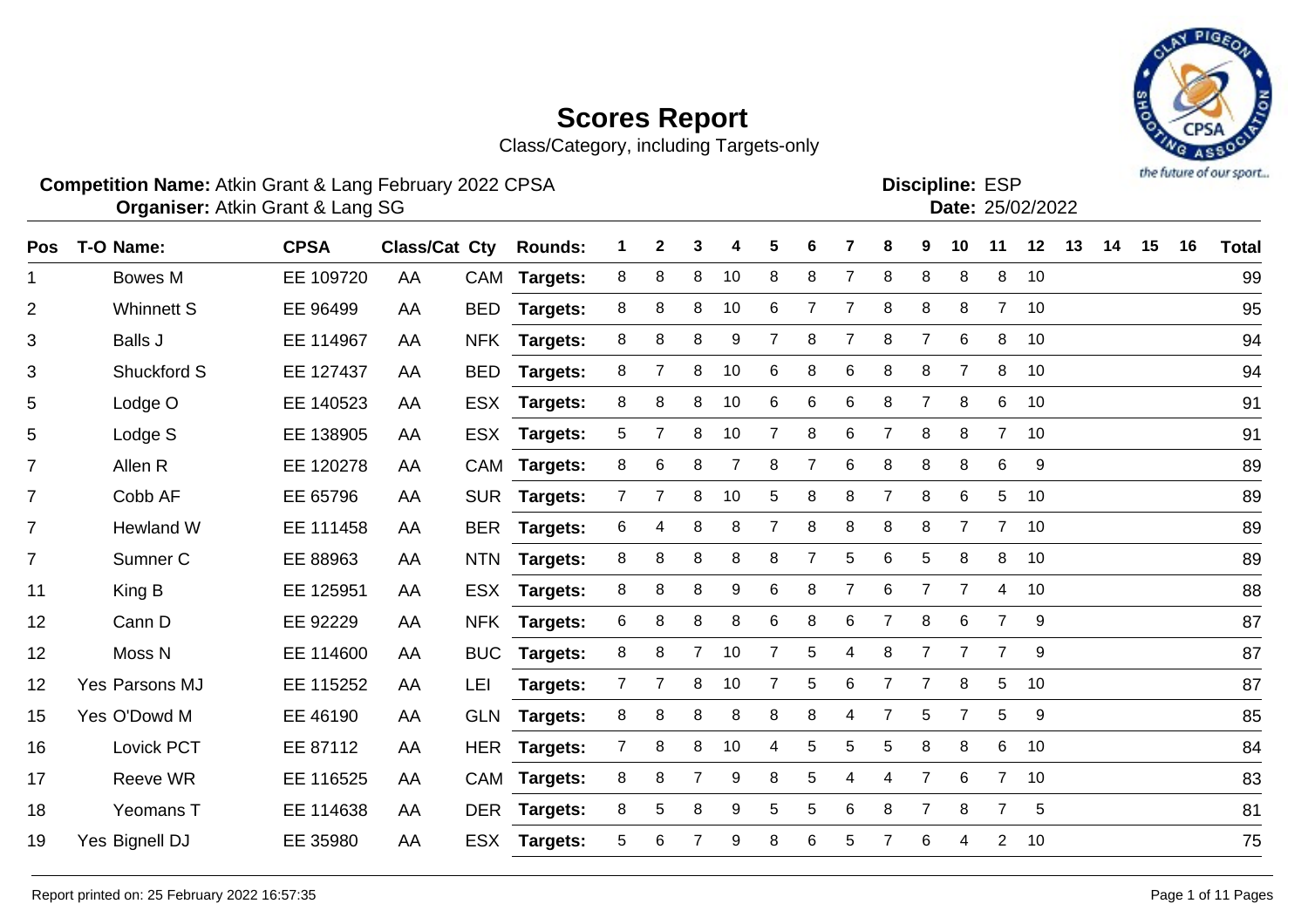Class/Category, including Targets-only

#### **Competition Name:** Atkin Grant & Lang February 2022 CPSA **Example 10 and ESP Competition Name:** ESP

**Organiser:** Atkin Grant & Lang SG 25/02/2022

| <b>Pos</b>     | T-O Name:           | <b>CPSA</b> | Class/Cat Cty |            | <b>Rounds:</b>  | 1              | $\mathbf{2}$ | 3              | 4  | 5 | 6               |                | 8              | 9              | 10             | 11             | 12 | 13 | 14 | 15 | 16 | <b>Total</b> |
|----------------|---------------------|-------------|---------------|------------|-----------------|----------------|--------------|----------------|----|---|-----------------|----------------|----------------|----------------|----------------|----------------|----|----|----|----|----|--------------|
| 1              | <b>Bowes M</b>      | EE 109720   | AA            | CAM        | <b>Targets:</b> | 8              | 8            | 8              | 10 | 8 | 8               | $\overline{7}$ | $\,8\,$        | 8              | 8              | 8              | 10 |    |    |    |    | 99           |
| $\overline{2}$ | <b>Whinnett S</b>   | EE 96499    | AA            | <b>BED</b> | <b>Targets:</b> | 8              | 8            | 8              | 10 | 6 | $\overline{7}$  | $\overline{7}$ | 8              | 8              | 8              | $\overline{7}$ | 10 |    |    |    |    | 95           |
| 3              | <b>Balls J</b>      | EE 114967   | AA            | <b>NFK</b> | Targets:        | 8              | 8            | 8              | 9  | 7 | 8               | 7              | 8              | 7              | 6              | 8              | 10 |    |    |    |    | 94           |
| 3              | Shuckford S         | EE 127437   | AA            | <b>BED</b> | Targets:        | 8              | 7            | 8              | 10 | 6 | 8               | 6              | 8              | 8              | $\overline{7}$ | 8              | 10 |    |    |    |    | 94           |
| 5              | Lodge O             | EE 140523   | AA            | <b>ESX</b> | <b>Targets:</b> | 8              | 8            | 8              | 10 | 6 | 6               | 6              | 8              | 7              | 8              | 6              | 10 |    |    |    |    | 91           |
| 5              | Lodge S             | EE 138905   | AA            | <b>ESX</b> | Targets:        | 5              |              | 8              | 10 | 7 | 8               | 6              | $\overline{7}$ | 8              | 8              | $\overline{7}$ | 10 |    |    |    |    | 91           |
| 7              | Allen R             | EE 120278   | AA            |            | CAM Targets:    | 8              | 6            | 8              | 7  | 8 | $\overline{7}$  | 6              | 8              | 8              | 8              | 6              | 9  |    |    |    |    | 89           |
| $\overline{7}$ | Cobb AF             | EE 65796    | AA            |            | SUR Targets:    | $7^{\circ}$    | 7            | 8              | 10 | 5 | 8               | 8              | $\overline{7}$ | 8              | 6              | 5              | 10 |    |    |    |    | 89           |
| $\overline{7}$ | Hewland W           | EE 111458   | AA            | <b>BER</b> | <b>Targets:</b> | 6              | 4            | 8              | 8  | 7 | 8               | 8              | 8              | 8              | $\overline{7}$ | $\overline{7}$ | 10 |    |    |    |    | 89           |
| $\overline{7}$ | Sumner <sub>C</sub> | EE 88963    | AA            | <b>NTN</b> | <b>Targets:</b> | 8              | 8            | 8              | 8  | 8 | 7               | 5              | 6              | 5              | 8              | 8              | 10 |    |    |    |    | 89           |
| 11             | King B              | EE 125951   | AA            |            | ESX Targets:    | 8              | 8            | 8              | 9  | 6 | 8               | $\overline{7}$ | 6              | $\overline{7}$ | $\overline{7}$ | 4              | 10 |    |    |    |    | 88           |
| 12             | Cann D              | EE 92229    | AA            | <b>NFK</b> | <b>Targets:</b> | 6              | 8            | 8              | 8  | 6 | 8               | 6              | $\overline{7}$ | 8              | 6              | $\overline{7}$ | 9  |    |    |    |    | 87           |
| 12             | Moss <sub>N</sub>   | EE 114600   | AA            | <b>BUC</b> | Targets:        | 8              | 8            | $\overline{7}$ | 10 | 7 | 5               | 4              | 8              | 7              | $\overline{7}$ | $\overline{7}$ | 9  |    |    |    |    | 87           |
| 12             | Yes Parsons MJ      | EE 115252   | AA            | LEI        | Targets:        | 7              |              | 8              | 10 | 7 | 5               | 6              | 7              | $\overline{7}$ | 8              | 5              | 10 |    |    |    |    | 87           |
| 15             | Yes O'Dowd M        | EE 46190    | AA            |            | GLN Targets:    | 8              | 8            | 8              | 8  | 8 | 8               | 4              | $\overline{7}$ | 5              | $\mathbf{7}$   | 5              | 9  |    |    |    |    | 85           |
| 16             | Lovick PCT          | EE 87112    | AA            |            | HER Targets:    | $\overline{7}$ | 8            | 8              | 10 | 4 | 5               | 5              | 5              | 8              | 8              | 6              | 10 |    |    |    |    | 84           |
| 17             | Reeve WR            | EE 116525   | AA            | CAM        | <b>Targets:</b> | 8              | 8            | $\overline{7}$ | 9  | 8 | 5               | 4              | 4              | 7              | 6              | $\overline{7}$ | 10 |    |    |    |    | 83           |
| 18             | <b>Yeomans T</b>    | EE 114638   | AA            |            | DER Targets:    | 8              | 5            | 8              | 9  | 5 | 5               | 6              | 8              | $\overline{7}$ | 8              | $\overline{7}$ | 5  |    |    |    |    | 81           |
| 19             | Yes Bignell DJ      | EE 35980    | AA            |            | ESX Targets:    | 5              | 6            |                | 9  | 8 | $6\phantom{1}6$ | 5              |                | 6              | 4              | $\overline{2}$ | 10 |    |    |    |    | 75           |

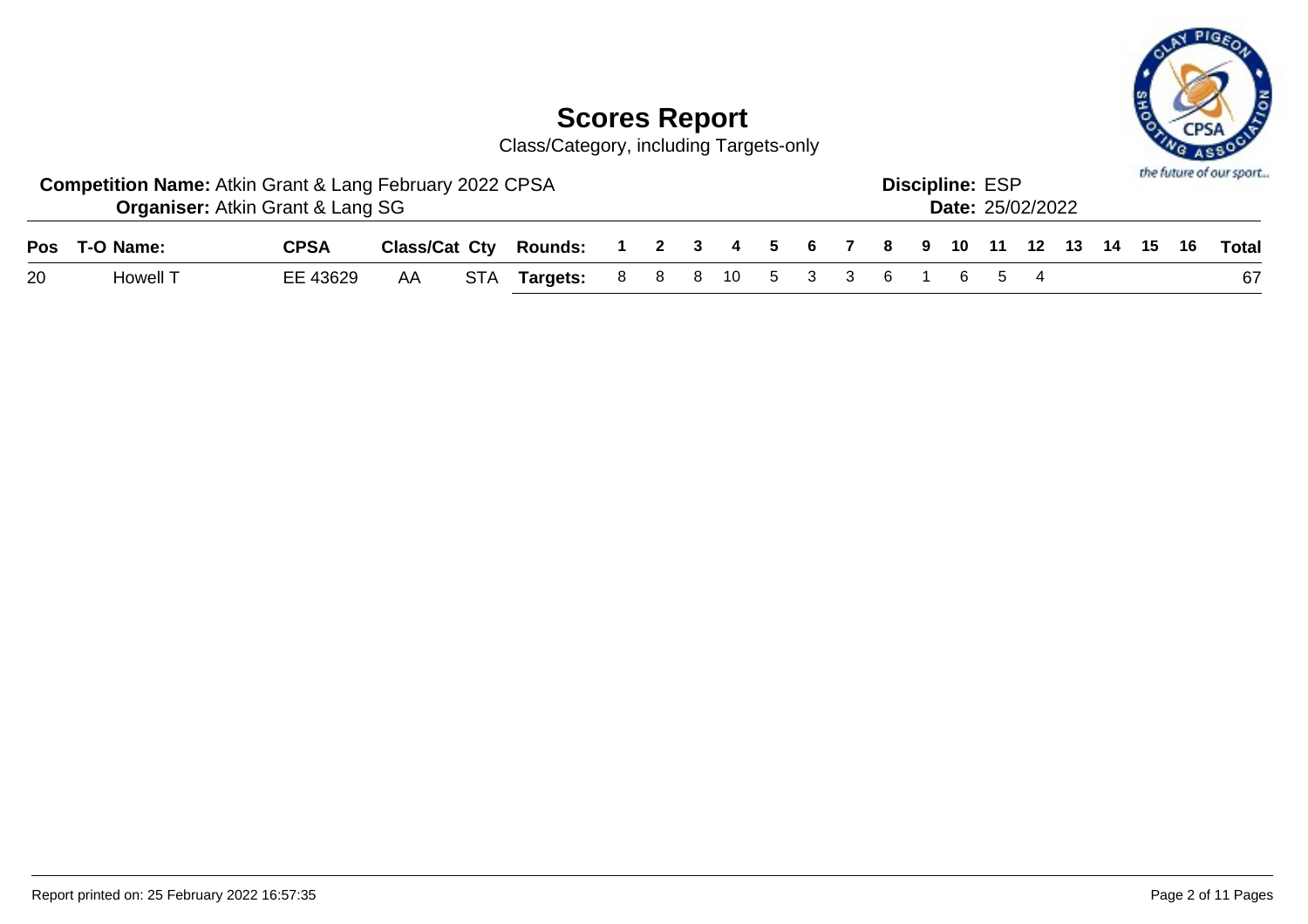

Class/Category, including Targets-only

|    | <b>Competition Name: Atkin Grant &amp; Lang February 2022 CPSA</b> | <b>Organiser: Atkin Grant &amp; Lang SG</b> |     |                                                                    |  |  |  |  | <b>Discipline: ESP</b> | <b>Date: 25/02/2022</b> |  |  | the future of our sport |
|----|--------------------------------------------------------------------|---------------------------------------------|-----|--------------------------------------------------------------------|--|--|--|--|------------------------|-------------------------|--|--|-------------------------|
|    | Pos T-O Name:                                                      | <b>CPSA</b>                                 |     | Class/Cat Cty Rounds: 1 2 3 4 5 6 7 8 9 10 11 12 13 14 15 16 Total |  |  |  |  |                        |                         |  |  |                         |
| 20 | Howell T                                                           | EE 43629                                    | AA. | STA Targets: 8 8 8 10 5 3 3 6 1 6 5 4                              |  |  |  |  |                        |                         |  |  | 67                      |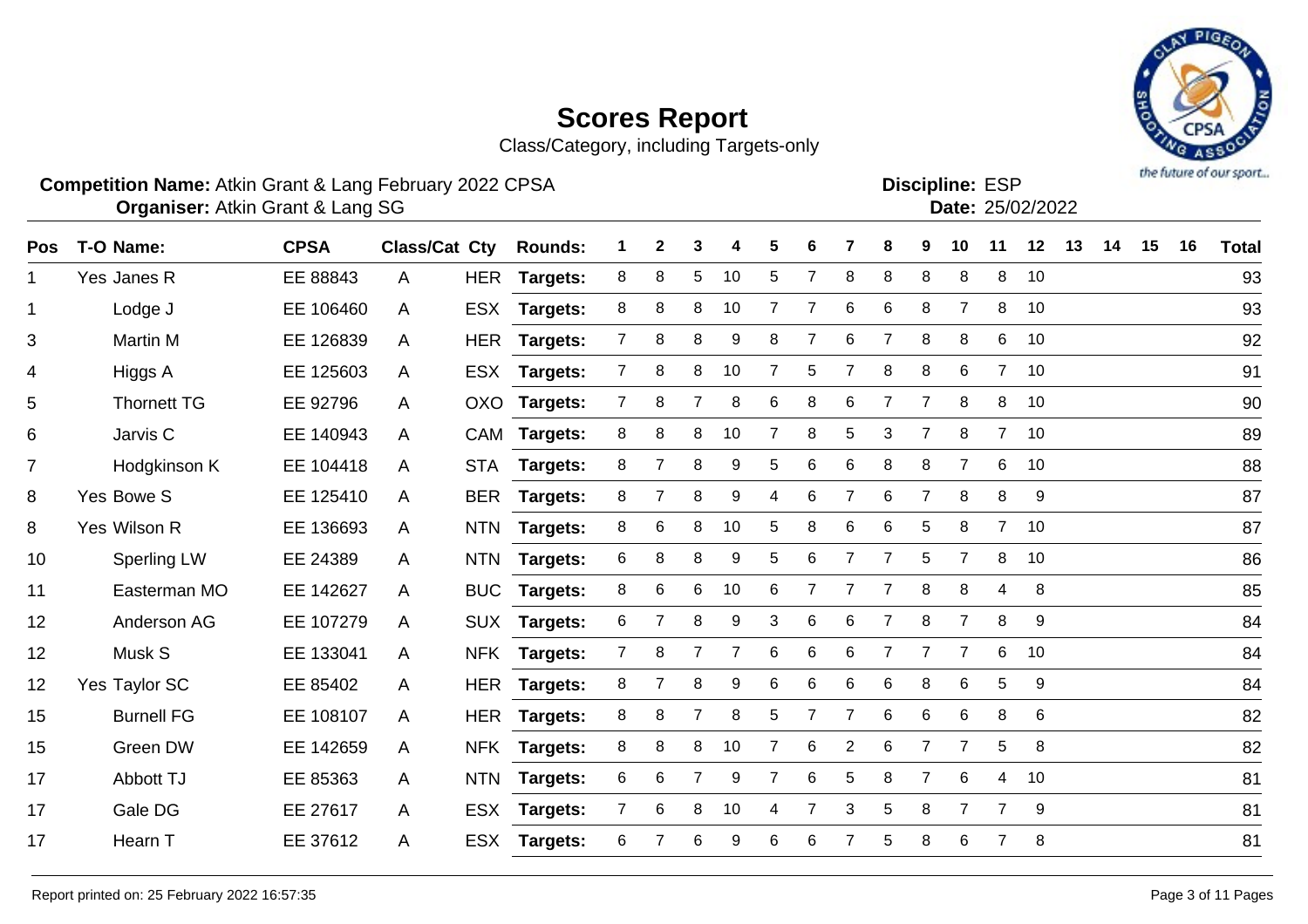Class/Category, including Targets-only

#### **Competition Name:** Atkin Grant & Lang February 2022 CPSA **Example 10 and ESP Competition Name:** ESP

**Organiser:** Atkin Grant & Lang SG 25/02/2022

| Pos            | T-O Name:          | <b>CPSA</b> | Class/Cat Cty |            | <b>Rounds:</b>  | 1              | $\mathbf{2}$   | 3              | 4  | 5              | 6              |                | 8              | 9              | 10             | 11             | 12 | 13 | 14 | 15 | 16 | <b>Total</b> |
|----------------|--------------------|-------------|---------------|------------|-----------------|----------------|----------------|----------------|----|----------------|----------------|----------------|----------------|----------------|----------------|----------------|----|----|----|----|----|--------------|
| $\mathbf 1$    | Yes Janes R        | EE 88843    | A             | HER        | <b>Targets:</b> | 8              | 8              | 5              | 10 | 5              | $\overline{7}$ | 8              | 8              | 8              | 8              | 8              | 10 |    |    |    |    | 93           |
| $\mathbf{1}$   | Lodge J            | EE 106460   | $\mathsf{A}$  | <b>ESX</b> | <b>Targets:</b> | 8              | 8              | 8              | 10 | 7              | 7              | 6              | 6              | 8              | $\overline{7}$ | 8              | 10 |    |    |    |    | 93           |
| 3              | Martin M           | EE 126839   | A             | <b>HER</b> | Targets:        | $7^{\circ}$    | 8              | 8              | 9  | 8              | 7              | 6              | $\overline{7}$ | 8              | 8              | 6              | 10 |    |    |    |    | 92           |
| $\overline{4}$ | Higgs A            | EE 125603   | $\mathsf{A}$  | <b>ESX</b> | <b>Targets:</b> | $\overline{7}$ | 8              | 8              | 10 | $\overline{7}$ | 5              |                | 8              | 8              | 6              | $\overline{7}$ | 10 |    |    |    |    | 91           |
| 5              | <b>Thornett TG</b> | EE 92796    | A             | OXO        | Targets:        | $7^{\circ}$    | 8              | 7              | 8  | 6              | 8              | 6              | 7              | 7              | 8              | 8              | 10 |    |    |    |    | 90           |
| 6              | Jarvis C           | EE 140943   | $\mathsf{A}$  | CAM        | Targets:        | 8              | 8              | 8              | 10 | 7              | 8              | 5              | 3              | $\overline{7}$ | 8              | $\overline{7}$ | 10 |    |    |    |    | 89           |
| $\overline{7}$ | Hodgkinson K       | EE 104418   | A             | <b>STA</b> | Targets:        | 8              | $\overline{7}$ | 8              | 9  | 5              | 6              | 6              | 8              | 8              | $\overline{7}$ | 6              | 10 |    |    |    |    | 88           |
| 8              | Yes Bowe S         | EE 125410   | A             | <b>BER</b> | Targets:        | 8              | 7              | 8              | 9  | 4              | 6              | $\overline{7}$ | 6              | $\overline{7}$ | 8              | 8              | 9  |    |    |    |    | 87           |
| 8              | Yes Wilson R       | EE 136693   | $\mathsf{A}$  | <b>NTN</b> | <b>Targets:</b> | 8              | 6              | 8              | 10 | 5              | 8              | 6              | 6              | 5              | 8              | $\overline{7}$ | 10 |    |    |    |    | 87           |
| 10             | <b>Sperling LW</b> | EE 24389    | A             | <b>NTN</b> | <b>Targets:</b> | 6              | 8              | 8              | 9  | 5              | 6              | $\overline{7}$ | $\overline{7}$ | 5              | $\overline{7}$ | 8              | 10 |    |    |    |    | 86           |
| 11             | Easterman MO       | EE 142627   | $\mathsf{A}$  | <b>BUC</b> | <b>Targets:</b> | 8              | 6              | 6              | 10 | 6              | 7              | 7              | 7              | 8              | 8              | 4              | 8  |    |    |    |    | 85           |
| 12             | Anderson AG        | EE 107279   | A             | <b>SUX</b> | <b>Targets:</b> | 6              |                | 8              | 9  | 3              | 6              | 6              | 7              | 8              | $\overline{7}$ | 8              | 9  |    |    |    |    | 84           |
| 12             | Musk S             | EE 133041   | A             | <b>NFK</b> | Targets:        | $7^{\circ}$    | 8              | $\overline{7}$ |    | 6              | 6              | 6              | $\overline{7}$ | $\overline{7}$ | $\overline{7}$ | 6              | 10 |    |    |    |    | 84           |
| 12             | Yes Taylor SC      | EE 85402    | A             |            | HER Targets:    | 8              | $\overline{7}$ | 8              | 9  | 6              | 6              | 6              | 6              | 8              | 6              | 5              | 9  |    |    |    |    | 84           |
| 15             | <b>Burnell FG</b>  | EE 108107   | $\mathsf{A}$  |            | HER Targets:    | 8              | 8              | $\overline{7}$ | 8  | 5              | $\overline{7}$ | $\overline{7}$ | $\,6$          | 6              | 6              | 8              | 6  |    |    |    |    | 82           |
| 15             | Green DW           | EE 142659   | $\mathsf{A}$  | <b>NFK</b> | <b>Targets:</b> | 8              | 8              | 8              | 10 | 7              | 6              | $\overline{2}$ | 6              | $\overline{7}$ | $\overline{7}$ | 5              | 8  |    |    |    |    | 82           |
| 17             | Abbott TJ          | EE 85363    | A             | <b>NTN</b> | Targets:        | 6              | 6              | $\overline{7}$ | 9  | $\overline{7}$ | 6              | 5              | 8              | $\overline{7}$ | 6              | 4              | 10 |    |    |    |    | 81           |
| 17             | Gale DG            | EE 27617    | $\mathsf{A}$  | <b>ESX</b> | <b>Targets:</b> | $\mathbf{7}$   | 6              | 8              | 10 | 4              | 7              | 3              | 5              | 8              | $\overline{7}$ | $\overline{7}$ | 9  |    |    |    |    | 81           |
| 17             | Hearn T            | EE 37612    | A             | <b>ESX</b> | <b>Targets:</b> | 6              |                | 6              | 9  | 6              | 6              |                | 5              | 8              | 6              | 7              | 8  |    |    |    |    | 81           |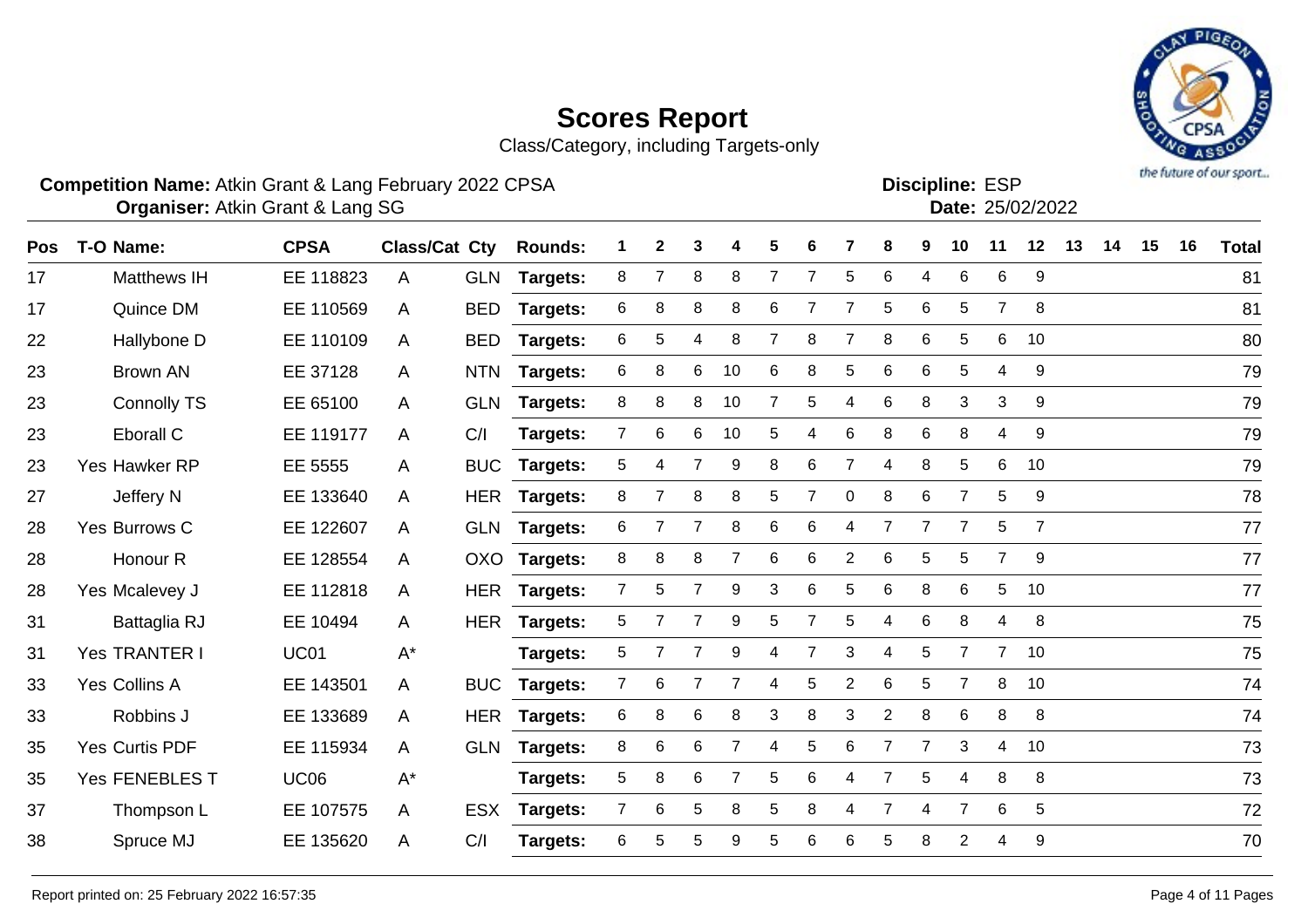Class/Category, including Targets-only

#### **Competition Name:** Atkin Grant & Lang February 2022 CPSA **Example 10 and ESP Competition Name:** ESP

**Organiser:** Atkin Grant & Lang SG 25/02/2022

| Pos | T-O Name:             | <b>CPSA</b> | <b>Class/Cat Cty</b> |            | <b>Rounds:</b>  | 1            | 2              | 3               | 4              | 5              | 6              |                | 8              | 9              | 10             | 11              | 12             | 13 | 14 | 15 | 16 | <b>Total</b> |
|-----|-----------------------|-------------|----------------------|------------|-----------------|--------------|----------------|-----------------|----------------|----------------|----------------|----------------|----------------|----------------|----------------|-----------------|----------------|----|----|----|----|--------------|
| 17  | Matthews IH           | EE 118823   | A                    |            | GLN Targets:    | 8            | $\overline{7}$ | 8               | 8              | $\overline{7}$ | $\overline{7}$ | 5              | $\,6$          | 4              | 6              | 6               | 9              |    |    |    |    | 81           |
| 17  | Quince DM             | EE 110569   | A                    | <b>BED</b> | <b>Targets:</b> | 6            | 8              | 8               | 8              | 6              | 7              | $\overline{7}$ | 5              | 6              | 5              | $\overline{7}$  | 8              |    |    |    |    | 81           |
| 22  | Hallybone D           | EE 110109   | A                    | <b>BED</b> | Targets:        | 6            | 5              | 4               | 8              | 7              | 8              |                | 8              | 6              | 5              | 6               | 10             |    |    |    |    | 80           |
| 23  | <b>Brown AN</b>       | EE 37128    | A                    | <b>NTN</b> | Targets:        | 6            | 8              | 6               | 10             | 6              | 8              | 5              | 6              | $\,6$          | 5              | 4               | 9              |    |    |    |    | 79           |
| 23  | <b>Connolly TS</b>    | EE 65100    | A                    | <b>GLN</b> | <b>Targets:</b> | 8            | 8              | 8               | 10             | $\overline{7}$ | 5              | 4              | 6              | 8              | 3              | 3               | 9              |    |    |    |    | 79           |
| 23  | Eborall C             | EE 119177   | A                    | C/I        | <b>Targets:</b> | 7            | 6              | 6               | 10             | 5              | 4              | 6              | 8              | 6              | 8              | 4               | 9              |    |    |    |    | 79           |
| 23  | Yes Hawker RP         | EE 5555     | A                    | <b>BUC</b> | <b>Targets:</b> | 5            | 4              | $\overline{7}$  | 9              | 8              | 6              |                | 4              | 8              | 5              | 6               | 10             |    |    |    |    | 79           |
| 27  | Jeffery N             | EE 133640   | A                    |            | HER Targets:    | 8            | $\overline{7}$ | 8               | 8              | 5              | 7              | $\mathbf 0$    | 8              | 6              | $\overline{7}$ | 5               | 9              |    |    |    |    | 78           |
| 28  | Yes Burrows C         | EE 122607   | A                    |            | GLN Targets:    | 6            |                | $\overline{7}$  | 8              | 6              | 6              | 4              | $\overline{7}$ | $\overline{7}$ | $\overline{7}$ | 5               | $\overline{7}$ |    |    |    |    | 77           |
| 28  | Honour <sub>R</sub>   | EE 128554   | A                    | <b>OXO</b> | <b>Targets:</b> | 8            | 8              | 8               | 7              | 6              | 6              | $\overline{2}$ | 6              | 5              | 5              | $\overline{7}$  | 9              |    |    |    |    | 77           |
| 28  | Yes Mcalevey J        | EE 112818   | A                    |            | HER Targets:    | $\mathbf{7}$ | 5              | $\overline{7}$  | 9              | 3              | 6              | 5              | $\,6$          | 8              | 6              | $5\phantom{.0}$ | 10             |    |    |    |    | 77           |
| 31  | <b>Battaglia RJ</b>   | EE 10494    | A                    | <b>HER</b> | Targets:        | 5            |                | $\overline{7}$  | 9              | 5              | 7              | 5              | 4              | 6              | 8              | 4               | 8              |    |    |    |    | 75           |
| 31  | Yes TRANTER I         | <b>UC01</b> | $A^*$                |            | Targets:        | 5            |                |                 | 9              | 4              | 7              | 3              | 4              | 5              | $\overline{7}$ | $\overline{7}$  | 10             |    |    |    |    | 75           |
| 33  | Yes Collins A         | EE 143501   | A                    | <b>BUC</b> | Targets:        | 7            | 6              |                 |                | 4              | 5              | $\overline{2}$ | 6              | 5              | $\overline{7}$ | 8               | 10             |    |    |    |    | 74           |
| 33  | Robbins J             | EE 133689   | A                    |            | HER Targets:    | 6            | 8              | $6\phantom{1}6$ | 8              | 3              | 8              | 3              | $\overline{2}$ | 8              | 6              | 8               | 8              |    |    |    |    | 74           |
| 35  | <b>Yes Curtis PDF</b> | EE 115934   | A                    | <b>GLN</b> | <b>Targets:</b> | 8            | 6              | 6               | $\overline{7}$ | 4              | 5              | 6              | $\overline{7}$ | 7              | 3              | 4               | 10             |    |    |    |    | 73           |
| 35  | Yes FENEBLES T        | <b>UC06</b> | $A^*$                |            | Targets:        | 5            | 8              | 6               | $\overline{7}$ | 5              | 6              | 4              | $\overline{7}$ | 5              | 4              | 8               | 8              |    |    |    |    | 73           |
| 37  | Thompson L            | EE 107575   | A                    | <b>ESX</b> | Targets:        | $\mathbf{7}$ | 6              | 5               | 8              | 5              | 8              | 4              | 7              | 4              | $\overline{7}$ | 6               | 5              |    |    |    |    | 72           |
| 38  | Spruce MJ             | EE 135620   | A                    | C/I        | Targets:        | 6            | 5              | 5               | 9              | 5              | 6              | 6              | 5              | 8              | 2              | 4               | 9              |    |    |    |    | 70           |

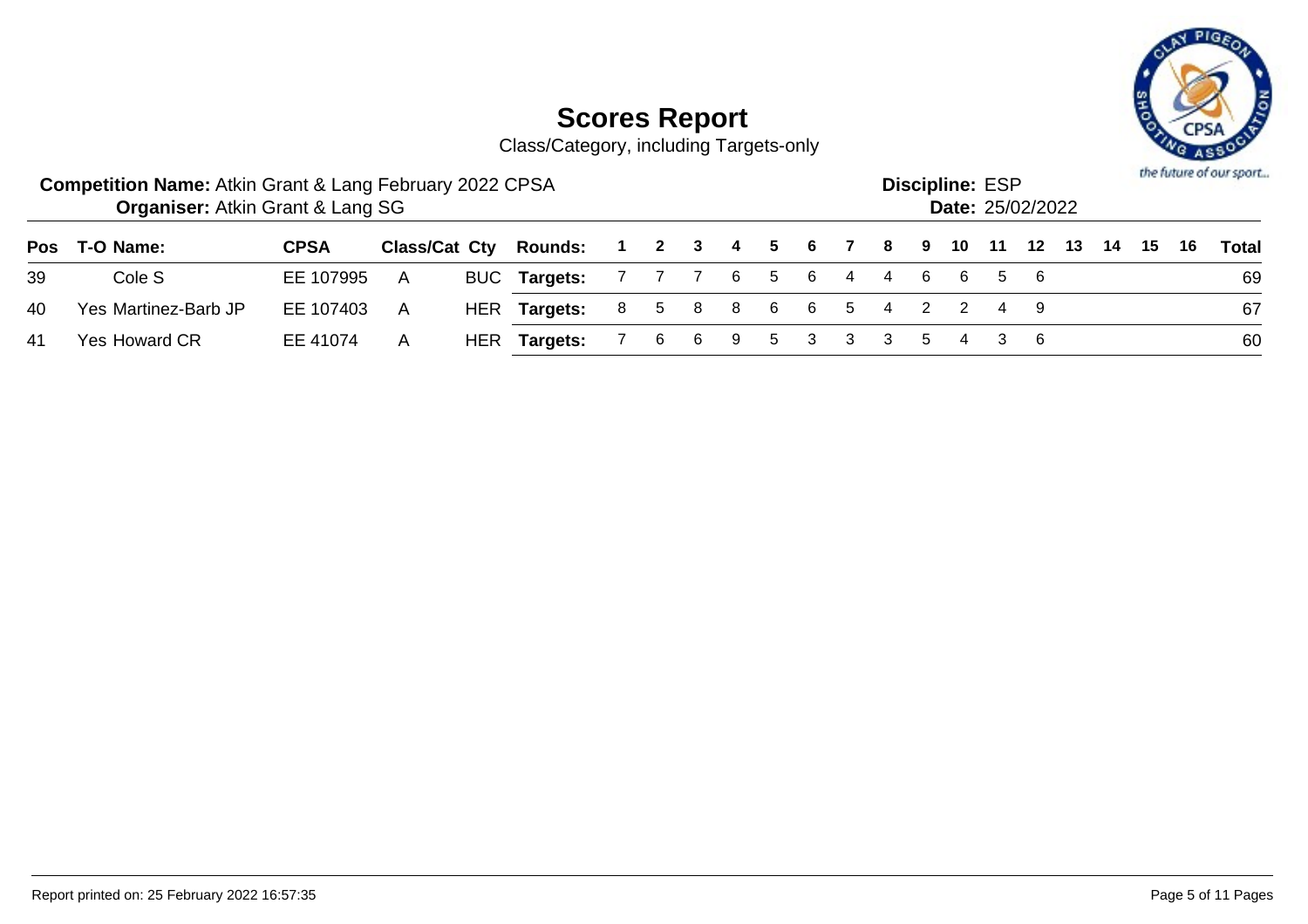

Class/Category, including Targets-only

|    | <b>Competition Name: Atkin Grant &amp; Lang February 2022 CPSA</b><br><b>Organiser: Atkin Grant &amp; Lang SG</b> |             |              |                                                              |                         |  |  |  |                         | <b>Discipline: ESP</b> | <b>Date: 25/02/2022</b> |  |  | the future of our sport |
|----|-------------------------------------------------------------------------------------------------------------------|-------------|--------------|--------------------------------------------------------------|-------------------------|--|--|--|-------------------------|------------------------|-------------------------|--|--|-------------------------|
|    | Pos T-O Name:                                                                                                     | <b>CPSA</b> |              | Class/Cat Cty Rounds: 1 2 3 4 5 6 7 8 9 10 11 12 13 14 15 16 |                         |  |  |  |                         |                        |                         |  |  | <b>Total</b>            |
| 39 | Cole S                                                                                                            | EE 107995   | A            | BUC Targets: 7 7 7 6 5 6 4 4 6 6 5 6                         |                         |  |  |  |                         |                        |                         |  |  | 69                      |
| 40 | Yes Martinez-Barb JP                                                                                              | EE 107403   | A            | HER <b>Targets:</b>                                          |                         |  |  |  | 8 5 8 8 6 6 5 4 2 2 4 9 |                        |                         |  |  | 67                      |
| 41 | Yes Howard CR                                                                                                     | EE 41074    | $\mathsf{A}$ | HER Targets:                                                 | 7 6 6 9 5 3 3 3 5 4 3 6 |  |  |  |                         |                        |                         |  |  | 60                      |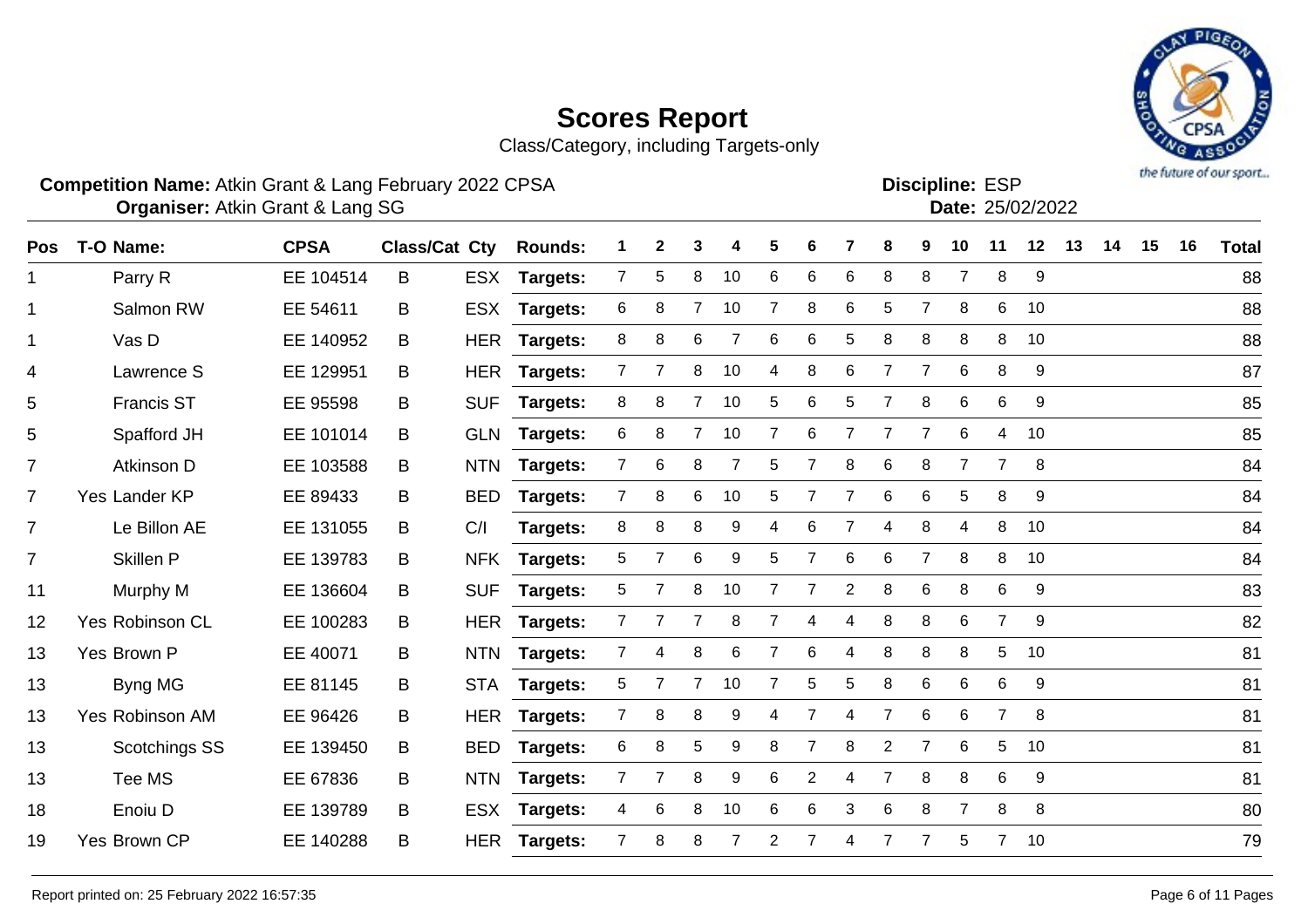Class/Category, including Targets-only

#### **Competition Name:** Atkin Grant & Lang February 2022 CPSA **Example 10 and ESP Competition Name:** ESP

**Organiser:** Atkin Grant & Lang SG 25/02/2022

| <b>Pos</b>     | T-O Name:         | <b>CPSA</b> | <b>Class/Cat Cty</b> |            | <b>Rounds:</b>  | 1              | $\mathbf{2}$   | 3              | 4              | 5              | 6              |                | 8              | 9              | 10             | 11             | 12 | 13 | 14 | 15 | 16 | <b>Total</b> |
|----------------|-------------------|-------------|----------------------|------------|-----------------|----------------|----------------|----------------|----------------|----------------|----------------|----------------|----------------|----------------|----------------|----------------|----|----|----|----|----|--------------|
| 1              | Parry R           | EE 104514   | B                    | <b>ESX</b> | <b>Targets:</b> | 7 <sup>1</sup> | 5              | 8              | 10             | 6              | 6              | 6              | 8              | 8              | $\overline{7}$ | 8              | 9  |    |    |    |    | 88           |
| $\mathbf{1}$   | Salmon RW         | EE 54611    | B                    | <b>ESX</b> | <b>Targets:</b> | 6              | 8              | 7              | 10             |                | 8              | 6              | 5              |                | 8              | 6              | 10 |    |    |    |    | 88           |
| $\mathbf{1}$   | Vas D             | EE 140952   | B                    | <b>HER</b> | <b>Targets:</b> | 8              | 8              | 6              |                | 6              | 6              | 5              | 8              | 8              | 8              | 8              | 10 |    |    |    |    | 88           |
| 4              | Lawrence S        | EE 129951   | B                    | <b>HER</b> | <b>Targets:</b> | $7^{\circ}$    | $\overline{7}$ | 8              | 10             | 4              | 8              | 6              | $\overline{7}$ | $\overline{7}$ | 6              | 8              | 9  |    |    |    |    | 87           |
| 5              | <b>Francis ST</b> | EE 95598    | B                    | <b>SUF</b> | Targets:        | 8              | 8              | $\overline{7}$ | 10             | 5              | 6              | 5              | $\overline{7}$ | 8              | 6              | $\,6$          | 9  |    |    |    |    | 85           |
| 5              | Spafford JH       | EE 101014   | B                    | <b>GLN</b> | <b>Targets:</b> | 6              | 8              | 7              | 10             | 7              | 6              | $\overline{7}$ | $\overline{7}$ | $\overline{7}$ | 6              | 4              | 10 |    |    |    |    | 85           |
| $\overline{7}$ | Atkinson D        | EE 103588   | B                    | <b>NTN</b> | Targets:        | $\overline{7}$ | 6              | 8              | $\overline{7}$ | 5              | 7              | 8              | 6              | 8              | $\overline{7}$ | $\overline{7}$ | 8  |    |    |    |    | 84           |
| $\overline{7}$ | Yes Lander KP     | EE 89433    | B                    | <b>BED</b> | Targets:        | $\overline{7}$ | 8              | 6              | 10             | 5              | 7              | $\overline{7}$ | 6              | 6              | 5              | 8              | 9  |    |    |    |    | 84           |
| $\overline{7}$ | Le Billon AE      | EE 131055   | B                    | C/I        | Targets:        | 8              | 8              | 8              | 9              | 4              | 6              | 7              | 4              | 8              | 4              | 8              | 10 |    |    |    |    | 84           |
| $\overline{7}$ | Skillen P         | EE 139783   | B                    | <b>NFK</b> | Targets:        | 5              |                | 6              | 9              | 5              | 7              | 6              | 6              | 7              | 8              | 8              | 10 |    |    |    |    | 84           |
| 11             | Murphy M          | EE 136604   | B                    | <b>SUF</b> | Targets:        | 5              | 7              | 8              | 10             | 7              | 7              | $\overline{2}$ | 8              | 6              | 8              | 6              | 9  |    |    |    |    | 83           |
| 12             | Yes Robinson CL   | EE 100283   | B                    | <b>HER</b> | <b>Targets:</b> | $\overline{7}$ |                | $\overline{7}$ | 8              | $\overline{7}$ | 4              | 4              | 8              | 8              | 6              | $\overline{7}$ | 9  |    |    |    |    | 82           |
| 13             | Yes Brown P       | EE 40071    | B                    | <b>NTN</b> | Targets:        | 7              | 4              | 8              | 6              |                | 6              |                | 8              | 8              | 8              | 5              | 10 |    |    |    |    | 81           |
| 13             | Byng MG           | EE 81145    | B                    | <b>STA</b> | Targets:        | 5              |                | $\overline{7}$ | 10             | 7              | 5              | 5              | 8              | $\,6$          | 6              | 6              | 9  |    |    |    |    | 81           |
| 13             | Yes Robinson AM   | EE 96426    | B                    | <b>HER</b> | <b>Targets:</b> | $\overline{7}$ | 8              | 8              | 9              | 4              | $\overline{7}$ | 4              | $\overline{7}$ | 6              | 6              | $\overline{7}$ | 8  |    |    |    |    | 81           |
| 13             | Scotchings SS     | EE 139450   | B                    | <b>BED</b> | <b>Targets:</b> | 6              | 8              | 5              | 9              | 8              | $\overline{7}$ | 8              | $\overline{2}$ | $\overline{7}$ | 6              | 5              | 10 |    |    |    |    | 81           |
| 13             | Tee MS            | EE 67836    | B                    | <b>NTN</b> | Targets:        | $\overline{7}$ | 7              | 8              | 9              | 6              | 2              | 4              | $\overline{7}$ | 8              | 8              | 6              | 9  |    |    |    |    | 81           |
| 18             | Enoiu D           | EE 139789   | B                    | <b>ESX</b> | Targets:        | 4              | 6              | 8              | 10             | 6              | 6              | 3              | 6              | 8              | $\overline{7}$ | 8              | 8  |    |    |    |    | 80           |
| 19             | Yes Brown CP      | EE 140288   | B                    |            | HER Targets:    | $7^{\circ}$    | 8              | 8              | 7              | 2              | 7              | 4              | 7              | 7              | 5              | $\overline{7}$ | 10 |    |    |    |    | 79           |



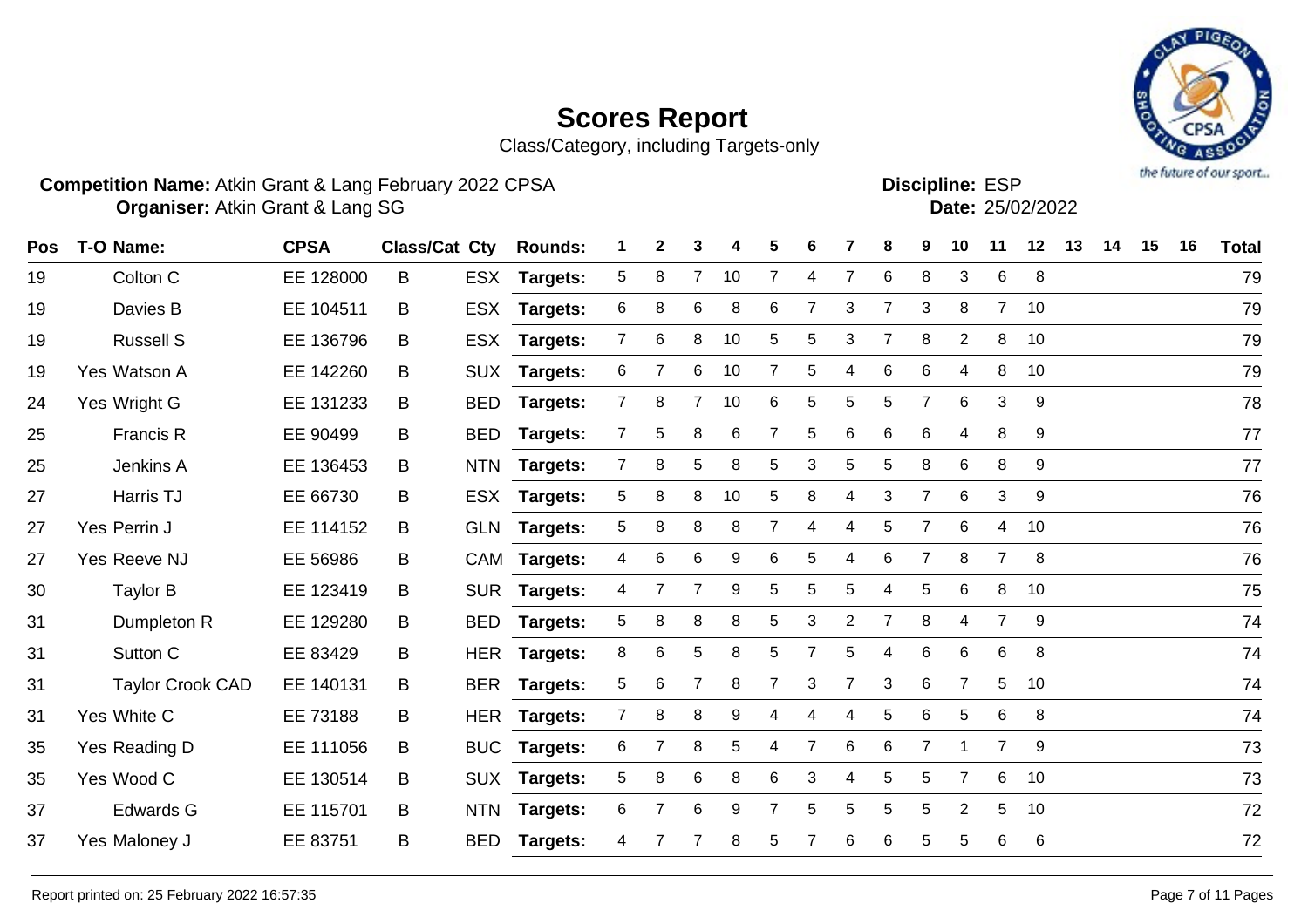Class/Category, including Targets-only

#### **Competition Name:** Atkin Grant & Lang February 2022 CPSA **Example 10 and ESP Competition Name:** ESP

**Organiser:** Atkin Grant & Lang SG 25/02/2022

| Pos | T-O Name:               | <b>CPSA</b> | Class/Cat Cty |            | <b>Rounds:</b>  | 1              | $\mathbf{2}$   | 3              | 4  | 5              | 6 |                | 8              | 9              | 10             | 11             | 12 | 13 | 14 | 15 | 16 | <b>Total</b> |
|-----|-------------------------|-------------|---------------|------------|-----------------|----------------|----------------|----------------|----|----------------|---|----------------|----------------|----------------|----------------|----------------|----|----|----|----|----|--------------|
| 19  | Colton C                | EE 128000   | B             |            | ESX Targets:    | 5              | 8              | $\overline{7}$ | 10 | $\overline{7}$ | 4 | $\overline{7}$ | 6              | 8              | 3              | 6              | 8  |    |    |    |    | 79           |
| 19  | Davies B                | EE 104511   | B             |            | ESX Targets:    | 6              | 8              | 6              | 8  | 6              | 7 | 3              | $\overline{7}$ | 3              | 8              | $\overline{7}$ | 10 |    |    |    |    | 79           |
| 19  | <b>Russell S</b>        | EE 136796   | B             |            | ESX Targets:    | $\mathbf{7}$   | 6              | 8              | 10 | 5              | 5 | 3              | 7              | 8              | $\overline{2}$ | 8              | 10 |    |    |    |    | 79           |
| 19  | Yes Watson A            | EE 142260   | B             |            | SUX Targets:    | 6              | $\overline{7}$ | 6              | 10 | 7              | 5 | 4              | 6              | 6              | 4              | 8              | 10 |    |    |    |    | 79           |
| 24  | Yes Wright G            | EE 131233   | B             | <b>BED</b> | <b>Targets:</b> | $\overline{7}$ | 8              |                | 10 | 6              | 5 | 5              | 5              | $\overline{7}$ | 6              | 3              | 9  |    |    |    |    | 78           |
| 25  | Francis R               | EE 90499    | B             | <b>BED</b> | Targets:        | $\overline{7}$ | 5              | 8              | 6  | 7              | 5 | 6              | 6              | 6              | 4              | 8              | 9  |    |    |    |    | 77           |
| 25  | Jenkins A               | EE 136453   | B             |            | NTN Targets:    | $\overline{7}$ | 8              | 5              | 8  | 5              | 3 | 5              | 5              | 8              | 6              | 8              | 9  |    |    |    |    | 77           |
| 27  | Harris TJ               | EE 66730    | B             |            | ESX Targets:    | 5              | 8              | 8              | 10 | 5              | 8 | 4              | 3              | $\overline{7}$ | 6              | 3              | 9  |    |    |    |    | 76           |
| 27  | Yes Perrin J            | EE 114152   | B             |            | GLN Targets:    | 5              | 8              | 8              | 8  | $\overline{7}$ | 4 | 4              | 5              | $\overline{7}$ | 6              | 4              | 10 |    |    |    |    | 76           |
| 27  | Yes Reeve NJ            | EE 56986    | B             |            | CAM Targets:    | 4              | 6              | 6              | 9  | 6              | 5 | 4              | 6              | 7              | 8              | $\overline{7}$ | 8  |    |    |    |    | 76           |
| 30  | <b>Taylor B</b>         | EE 123419   | B             |            | SUR Targets:    | 4              | $\overline{7}$ | $\overline{7}$ | 9  | 5              | 5 | 5              | 4              | 5              | 6              | 8              | 10 |    |    |    |    | 75           |
| 31  | Dumpleton R             | EE 129280   | B             | <b>BED</b> | Targets:        | 5              | 8              | 8              | 8  | 5              | 3 | $\overline{c}$ | $\overline{7}$ | 8              | 4              | $\overline{7}$ | 9  |    |    |    |    | 74           |
| 31  | Sutton C                | EE 83429    | B             |            | HER Targets:    | 8              | 6              | 5              | 8  | 5              |   | 5              | 4              | 6              | 6              | 6              | 8  |    |    |    |    | 74           |
| 31  | <b>Taylor Crook CAD</b> | EE 140131   | B             |            | BER Targets:    | 5              | 6              | 7              | 8  | $\overline{7}$ | 3 | $\overline{7}$ | 3              | 6              | $\overline{7}$ | 5              | 10 |    |    |    |    | 74           |
| 31  | Yes White C             | EE 73188    | B             |            | HER Targets:    | $\overline{7}$ | 8              | 8              | 9  | 4              | 4 | 4              | 5              | 6              | 5              | 6              | 8  |    |    |    |    | 74           |
| 35  | Yes Reading D           | EE 111056   | B             | <b>BUC</b> | Targets:        | 6              | 7              | 8              | 5  | 4              | 7 | 6              | 6              | $\overline{7}$ | 1              | $\overline{7}$ | 9  |    |    |    |    | 73           |
| 35  | Yes Wood C              | EE 130514   | B             |            | SUX Targets:    | 5              | 8              | 6              | 8  | 6              | 3 | 4              | 5              | 5              | $\overline{7}$ | 6              | 10 |    |    |    |    | 73           |
| 37  | <b>Edwards G</b>        | EE 115701   | B             | <b>NTN</b> | <b>Targets:</b> | 6              | $\overline{7}$ | 6              | 9  | 7              | 5 | 5              | 5              | 5              | $\overline{2}$ | 5              | 10 |    |    |    |    | 72           |
| 37  | Yes Maloney J           | EE 83751    | B             | <b>BED</b> | Targets:        | 4              |                |                | 8  | 5              |   | 6              | 6              | 5              | 5.             | 6              | 6  |    |    |    |    | 72           |
|     |                         |             |               |            |                 |                |                |                |    |                |   |                |                |                |                |                |    |    |    |    |    |              |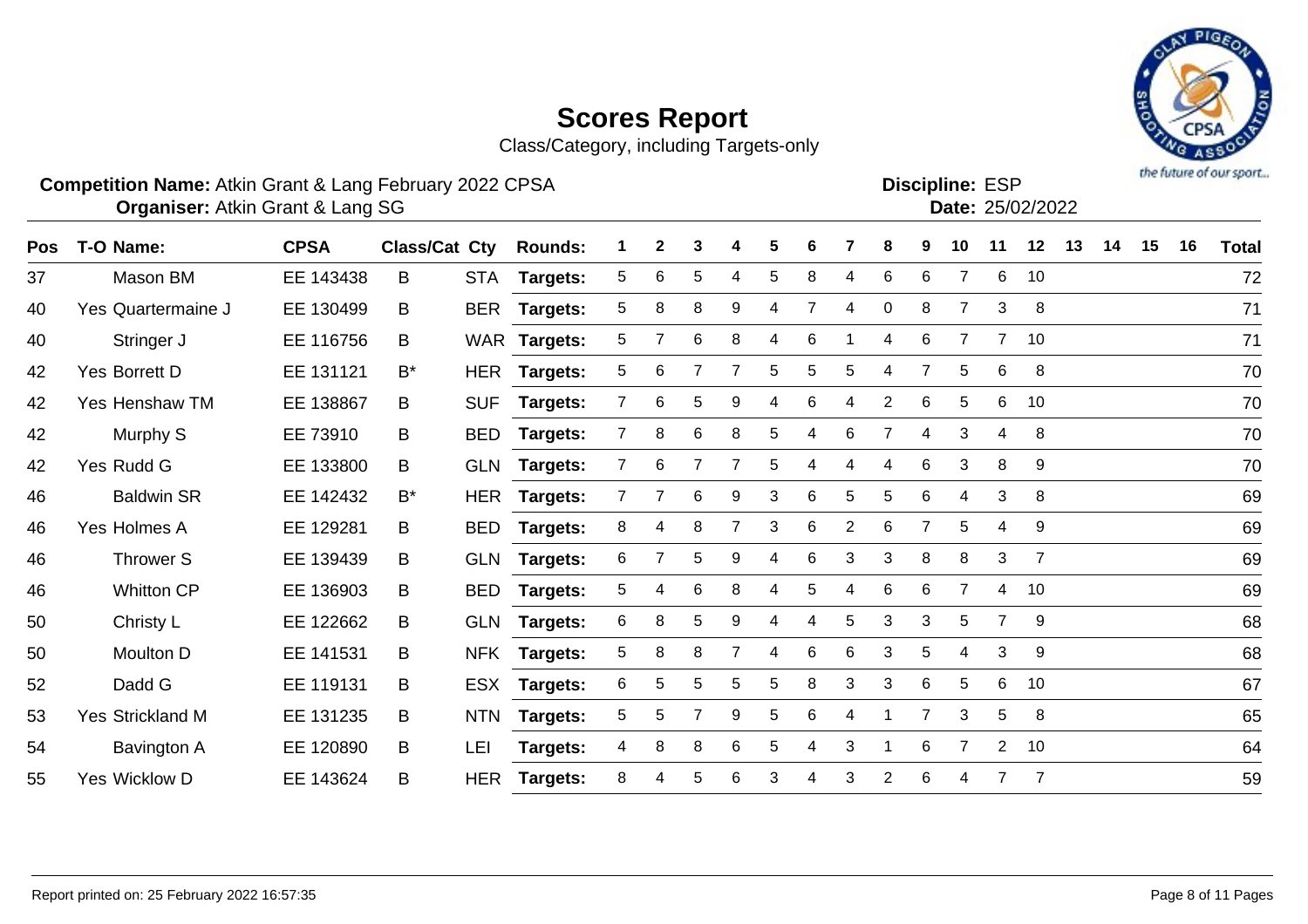



#### **Competition Name:** Atkin Grant & Lang February 2022 CPSA **Example 10 and ESP Competition Name:** ESP

Discipline: **FSP** 

| וט∟ . בטווווש |                  |
|---------------|------------------|
|               | Date: 25/02/2022 |

| <b>Pos</b> | T-O Name:                 | <b>CPSA</b> | Class/Cat Cty |            | <b>Rounds:</b>  | 1              | $\mathbf{2}$ | 3 | 4              | 5 | 6 |                | 8              | 9              | 10             | 11             | 12             | 13 | 14 | 15 | 16 | <b>Total</b> |
|------------|---------------------------|-------------|---------------|------------|-----------------|----------------|--------------|---|----------------|---|---|----------------|----------------|----------------|----------------|----------------|----------------|----|----|----|----|--------------|
| 37         | Mason BM                  | EE 143438   | B             |            | STA Targets:    | 5              | 6            | 5 | 4              | 5 | 8 | 4              | 6              | 6              | 7              | 6              | 10             |    |    |    |    | 72           |
| 40         | <b>Yes Quartermaine J</b> | EE 130499   | B             | BER        | Targets:        | 5              | 8            | 8 | 9              | 4 |   | 4              | $\mathbf 0$    | 8              | $\overline{7}$ | 3              | 8              |    |    |    |    | 71           |
| 40         | Stringer J                | EE 116756   | B             |            | WAR Targets:    | 5              |              | 6 | 8              | 4 | 6 |                | 4              | 6              | 7              | $\overline{7}$ | 10             |    |    |    |    | 71           |
| 42         | Yes Borrett D             | EE 131121   | $B^*$         | HER        | <b>Targets:</b> | 5              | 6            |   |                | 5 | 5 | 5              | 4              |                | 5              | 6              | 8              |    |    |    |    | 70           |
| 42         | Yes Henshaw TM            | EE 138867   | В             | <b>SUF</b> | Targets:        | 7              | 6            | 5 | 9              | 4 | 6 |                | $\overline{2}$ | 6              | 5              | 6              | 10             |    |    |    |    | 70           |
| 42         | Murphy S                  | EE 73910    | B             | <b>BED</b> | <b>Targets:</b> | $\overline{7}$ | 8            | 6 | 8              | 5 | 4 | 6              | 7              | 4              | 3              | 4              | 8              |    |    |    |    | 70           |
| 42         | Yes Rudd G                | EE 133800   | B.            |            | GLN Targets:    | $\mathbf{7}$   | 6            |   | 7              | 5 | 4 |                | 4              | 6              | 3              | 8              | 9              |    |    |    |    | 70           |
| 46         | <b>Baldwin SR</b>         | EE 142432   | $B^*$         | <b>HER</b> | Targets:        | 7              |              | 6 | 9              | 3 | 6 | 5              | 5              | 6              | $\overline{4}$ | 3              | 8              |    |    |    |    | 69           |
| 46         | Yes Holmes A              | EE 129281   | B             | <b>BED</b> | <b>Targets:</b> | 8              | 4            | 8 | $\overline{7}$ | 3 | 6 | $\overline{2}$ | 6              |                | 5              | 4              | 9              |    |    |    |    | 69           |
| 46         | Thrower S                 | EE 139439   | B             |            | GLN Targets:    | 6              |              | 5 | 9              | 4 | 6 | 3              | 3              | 8              | 8              | 3              | $\overline{7}$ |    |    |    |    | 69           |
| 46         | <b>Whitton CP</b>         | EE 136903   | B             | <b>BED</b> | Targets:        | 5              | 4            | 6 | 8              | 4 | 5 | 4              | 6              | 6              | 7              | 4              | 10             |    |    |    |    | 69           |
| 50         | Christy L                 | EE 122662   | B             |            | GLN Targets:    | 6              | 8            | 5 | 9              | 4 | 4 | 5              | 3              | 3              | 5              | $\overline{7}$ | 9              |    |    |    |    | 68           |
| 50         | Moulton D                 | EE 141531   | B             |            | NFK Targets:    | 5              | 8            | 8 | $\overline{7}$ | 4 | 6 | 6              | 3              | 5              | 4              | 3              | 9              |    |    |    |    | 68           |
| 52         | Dadd G                    | EE 119131   | B             |            | ESX Targets:    | 6              | 5            | 5 | 5              | 5 | 8 | 3              | 3              | 6              | 5              | 6              | 10             |    |    |    |    | 67           |
| 53         | <b>Yes Strickland M</b>   | EE 131235   | B             | <b>NTN</b> | Targets:        | 5              | 5            |   | 9              | 5 | 6 | 4              |                | $\overline{7}$ | 3              | 5              | 8              |    |    |    |    | 65           |
| 54         | Bavington A               | EE 120890   | B             | <b>LEI</b> | Targets:        | 4              | 8            | 8 | 6              | 5 | 4 | 3              |                | 6              | $\overline{7}$ | $\overline{2}$ | 10             |    |    |    |    | 64           |
| 55         | Yes Wicklow D             | EE 143624   | B             | <b>HER</b> | Targets:        | 8              |              | 5 | 6              | 3 |   | 3              | $\overline{2}$ | 6              | 4              |                | 7              |    |    |    |    | 59           |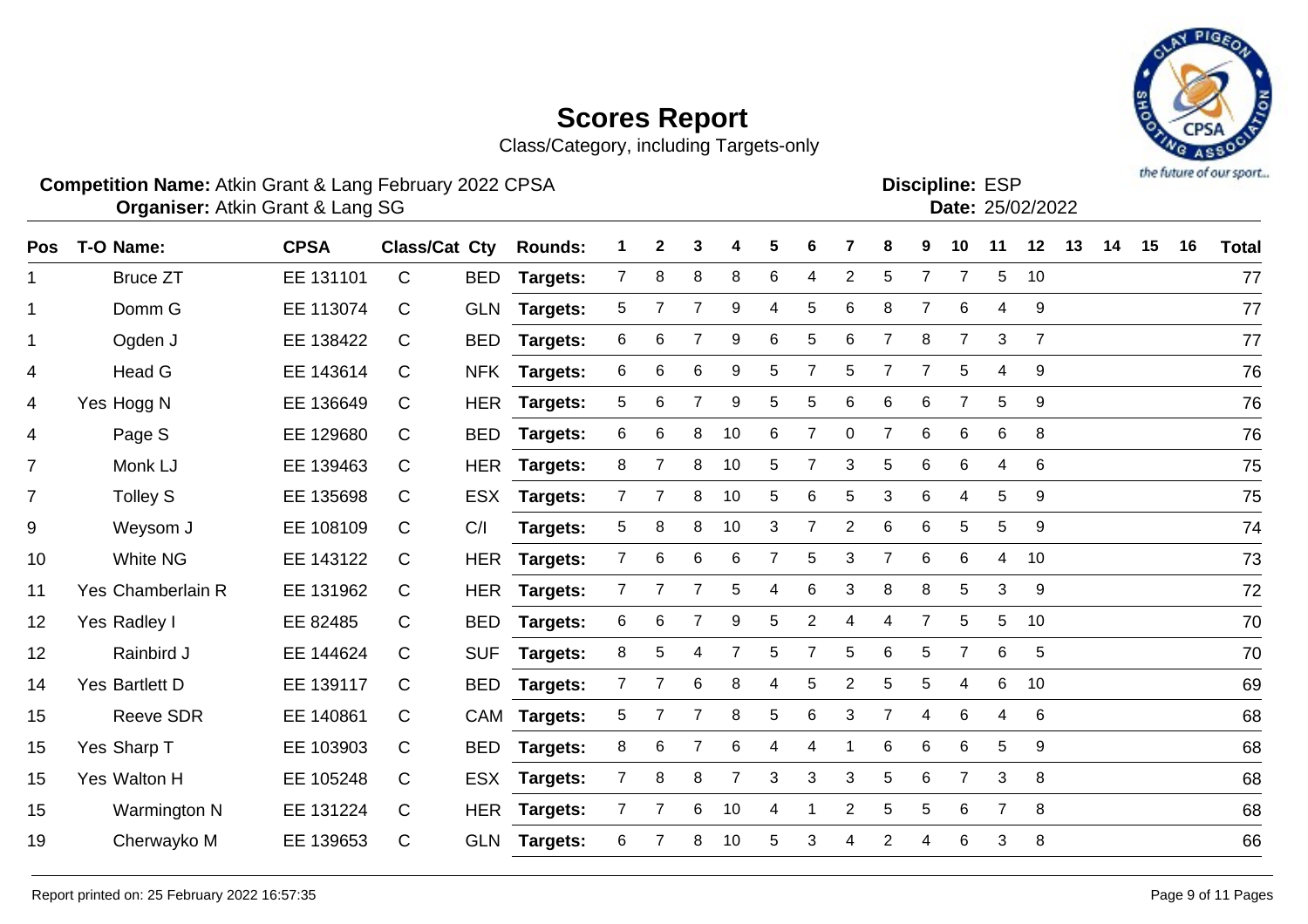



#### **Competition Name:** Atkin Grant & Lang February 2022 CPSA **Example 10 and ESP Competition Name:** ESP

**Discipline:**

|  | Date: 25/02/202 |
|--|-----------------|
|  |                 |

| <b>Pos</b>     | T-O Name:         | <b>CPSA</b> | <b>Class/Cat Cty</b> |            | <b>Rounds:</b>  |                | $\mathbf{2}$   | 3               | 4              | 5              | 6 |                | 8              | 9              | 10             | 11             | 12             | 13 | 14 | 15 | 16 | <b>Total</b> |
|----------------|-------------------|-------------|----------------------|------------|-----------------|----------------|----------------|-----------------|----------------|----------------|---|----------------|----------------|----------------|----------------|----------------|----------------|----|----|----|----|--------------|
| $\mathbf 1$    | <b>Bruce ZT</b>   | EE 131101   | C                    | <b>BED</b> | Targets:        | $\overline{7}$ | 8              | 8               | 8              | 6              | 4 | $\overline{2}$ | 5              | 7              | $\overline{7}$ | 5              | 10             |    |    |    |    | 77           |
| $\mathbf 1$    | Domm G            | EE 113074   | C                    |            | GLN Targets:    | 5              | 7              | 7               | 9              | 4              | 5 | 6              | 8              | $\overline{7}$ | 6              | 4              | 9              |    |    |    |    | 77           |
| $\mathbf{1}$   | Ogden J           | EE 138422   | C                    | BED        | <b>Targets:</b> | 6              | 6              |                 | 9              | 6              | 5 | 6              | $\overline{7}$ | 8              | 7              | 3              | $\overline{7}$ |    |    |    |    | 77           |
| 4              | Head G            | EE 143614   | C                    | <b>NFK</b> | <b>Targets:</b> | 6              | 6              | 6               | 9              | 5              |   | 5              | $\overline{7}$ | 7              | 5              | 4              | 9              |    |    |    |    | 76           |
| 4              | Yes Hogg N        | EE 136649   | C                    | <b>HER</b> | Targets:        | 5              | 6              |                 | 9              | 5              | 5 | 6              | 6              | 6              | $\overline{7}$ | 5              | 9              |    |    |    |    | 76           |
| 4              | Page S            | EE 129680   | C                    |            | BED Targets:    | 6              | 6              | 8               | 10             | 6              | 7 | 0              | $\overline{7}$ | 6              | 6              | 6              | 8              |    |    |    |    | 76           |
| $\overline{7}$ | Monk LJ           | EE 139463   | C                    |            | HER Targets:    | 8              | 7              | 8               | 10             | 5              | 7 | 3              | $\mathbf 5$    | 6              | 6              | 4              | 6              |    |    |    |    | 75           |
| $\overline{7}$ | Tolley S          | EE 135698   | C                    | <b>ESX</b> | Targets:        | $\overline{7}$ | $\overline{7}$ | 8               | 10             | 5              | 6 | 5              | 3              | 6              | 4              | 5              | 9              |    |    |    |    | 75           |
| 9              | Weysom J          | EE 108109   | C                    | C/I        | Targets:        | 5              | 8              | 8               | 10             | 3              |   | $\overline{2}$ | 6              | 6              | 5              | 5              | 9              |    |    |    |    | 74           |
| 10             | <b>White NG</b>   | EE 143122   | C                    |            | HER Targets:    | 7 <sup>1</sup> | 6              | $6\phantom{1}6$ | 6              | $\overline{7}$ | 5 | 3              | $\overline{7}$ | 6              | 6              | 4              | 10             |    |    |    |    | 73           |
| 11             | Yes Chamberlain R | EE 131962   | C                    |            | HER Targets:    | $\overline{7}$ |                |                 | 5              | 4              | 6 | 3              | 8              | 8              | 5              | 3              | 9              |    |    |    |    | 72           |
| 12             | Yes Radley I      | EE 82485    | C                    | <b>BED</b> | Targets:        | 6              | 6              |                 | 9              | 5              | 2 | 4              | 4              | $\overline{7}$ | 5              | 5              | 10             |    |    |    |    | 70           |
| 12             | Rainbird J        | EE 144624   | C                    | <b>SUF</b> | Targets:        | 8              | 5              | 4               | $\overline{7}$ | 5              | 7 | 5              | 6              | 5              | $\overline{7}$ | 6              | $\overline{5}$ |    |    |    |    | 70           |
| 14             | Yes Bartlett D    | EE 139117   | C                    |            | BED Targets:    | $\overline{7}$ | $\overline{7}$ | 6               | 8              | 4              | 5 | $\overline{2}$ | 5              | 5              | 4              | 6              | 10             |    |    |    |    | 69           |
| 15             | <b>Reeve SDR</b>  | EE 140861   | C                    |            | CAM Targets:    | 5              | $\overline{7}$ | $\overline{7}$  | 8              | 5              | 6 | 3              | $\overline{7}$ | 4              | 6              | 4              | 6              |    |    |    |    | 68           |
| 15             | Yes Sharp T       | EE 103903   | C                    | <b>BED</b> | <b>Targets:</b> | 8              | 6              | $\overline{7}$  | 6              | 4              | 4 |                | 6              | 6              | 6              | 5              | 9              |    |    |    |    | 68           |
| 15             | Yes Walton H      | EE 105248   | C                    |            | ESX Targets:    | $\overline{7}$ | 8              | 8               | $\overline{7}$ | 3              | 3 | 3              | 5              | $6\phantom{1}$ | $\overline{7}$ | 3              | 8              |    |    |    |    | 68           |
| 15             | Warmington N      | EE 131224   | C                    |            | HER Targets:    | $\mathbf{7}$   | 7              | 6               | 10             | 4              |   | $\overline{2}$ | 5              | 5              | 6              | $\overline{7}$ | 8              |    |    |    |    | 68           |
| 19             | Cherwayko M       | EE 139653   | C                    | <b>GLN</b> | <b>Targets:</b> | 6              |                | 8               | 10             | 5              | 3 | 4              | $\overline{2}$ | 4              | 6              | 3              | 8              |    |    |    |    | 66           |
|                |                   |             |                      |            |                 |                |                |                 |                |                |   |                |                |                |                |                |                |    |    |    |    |              |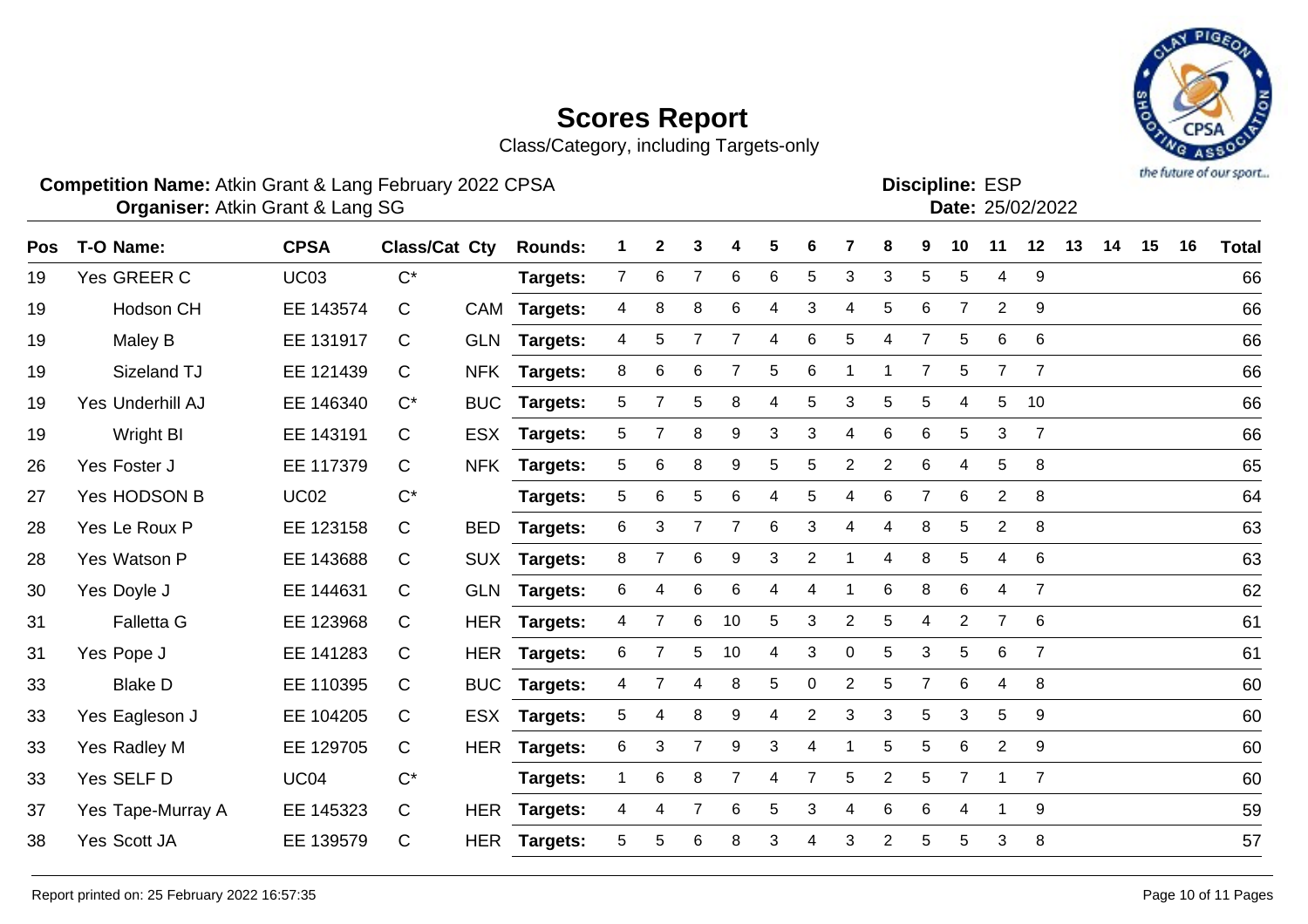

Class/Category, including Targets-only

#### **Competition Name:** Atkin Grant & Lang February 2022 CPSA **Example 10 and ESP Competition Name:** ESP

**Discipline:**

| - - - | Date: 25/02/202 |
|-------|-----------------|
|       |                 |

| Pos | T-O Name:         | <b>CPSA</b> | <b>Class/Cat Cty</b> |            | <b>Rounds:</b>  | 1               | $\mathbf{2}$ | 3              | 4              | 5 | 6              | 7              | 8              | 9              | 10             | 11             | 12             | 13 | 14 | 15 | 16 | <b>Total</b> |
|-----|-------------------|-------------|----------------------|------------|-----------------|-----------------|--------------|----------------|----------------|---|----------------|----------------|----------------|----------------|----------------|----------------|----------------|----|----|----|----|--------------|
| 19  | Yes GREER C       | <b>UC03</b> | $C^*$                |            | <b>Targets:</b> | $\overline{7}$  | 6            | $\overline{7}$ | 6              | 6 | 5              | 3              | 3              | 5              | 5              | 4              | 9              |    |    |    |    | 66           |
| 19  | Hodson CH         | EE 143574   | C                    | CAM        | <b>Targets:</b> | 4               | 8            | 8              | 6              | 4 | 3              | 4              | 5              | 6              | $\overline{7}$ | $\overline{2}$ | 9              |    |    |    |    | 66           |
| 19  | Maley B           | EE 131917   | C                    |            | GLN Targets:    | 4               | 5            |                | $\overline{7}$ | 4 | 6              | 5              | 4              | $\overline{7}$ | 5              | 6              | 6              |    |    |    |    | 66           |
| 19  | Sizeland TJ       | EE 121439   | C                    | <b>NFK</b> | Targets:        | 8               | 6            | 6              |                | 5 | 6              |                |                | 7              | 5              | $\overline{7}$ | $\overline{7}$ |    |    |    |    | 66           |
| 19  | Yes Underhill AJ  | EE 146340   | $C^*$                | <b>BUC</b> | Targets:        | 5               |              | 5              | 8              | 4 | 5              | 3              | 5              | 5              | 4              | 5              | 10             |    |    |    |    | 66           |
| 19  | Wright BI         | EE 143191   | C                    | <b>ESX</b> | Targets:        | $5\phantom{.0}$ | 7            | 8              | 9              | 3 | 3              | 4              | 6              | 6              | 5              | 3              | $\overline{7}$ |    |    |    |    | 66           |
| 26  | Yes Foster J      | EE 117379   | C                    | <b>NFK</b> | Targets:        | 5               | 6            | 8              | 9              | 5 | 5              | $\overline{2}$ | $\overline{2}$ | 6              | 4              | 5              | 8              |    |    |    |    | 65           |
| 27  | Yes HODSON B      | <b>UC02</b> | $C^*$                |            | Targets:        | 5               | 6            | 5              | 6              | 4 | 5              | 4              | $\,6\,$        | $\overline{7}$ | 6              | $\overline{2}$ | 8              |    |    |    |    | 64           |
| 28  | Yes Le Roux P     | EE 123158   | C                    | <b>BED</b> | <b>Targets:</b> | 6               | 3            | $\overline{7}$ | $\overline{7}$ | 6 | 3              | 4              | 4              | 8              | 5              | $\overline{2}$ | 8              |    |    |    |    | 63           |
| 28  | Yes Watson P      | EE 143688   | C                    |            | SUX Targets:    | 8               | 7            | 6              | 9              | 3 | 2              |                | 4              | 8              | 5              | 4              | 6              |    |    |    |    | 63           |
| 30  | Yes Doyle J       | EE 144631   | C                    |            | GLN Targets:    | 6               | 4            | 6              | 6              | 4 | 4              |                | $6\phantom{1}$ | 8              | 6              | 4              | $\overline{7}$ |    |    |    |    | 62           |
| 31  | <b>Falletta G</b> | EE 123968   | C                    | <b>HER</b> | <b>Targets:</b> | 4               |              | 6              | 10             | 5 | 3              | $\overline{2}$ | 5              | 4              | $\overline{2}$ | $\overline{7}$ | 6              |    |    |    |    | 61           |
| 31  | Yes Pope J        | EE 141283   | C                    | <b>HER</b> | Targets:        | 6               | 7            | 5              | 10             | 4 | 3              | 0              | 5              | 3              | 5              | 6              | $\overline{7}$ |    |    |    |    | 61           |
| 33  | <b>Blake D</b>    | EE 110395   | C                    | <b>BUC</b> | Targets:        | 4               | 7            | 4              | 8              | 5 | $\mathbf 0$    | $\overline{2}$ | 5              | $\overline{7}$ | 6              | 4              | 8              |    |    |    |    | 60           |
| 33  | Yes Eagleson J    | EE 104205   | C                    |            | ESX Targets:    | $5\phantom{.0}$ | 4            | 8              | 9              | 4 | $\overline{2}$ | 3              | 3              | 5              | 3              | 5              | 9              |    |    |    |    | 60           |
| 33  | Yes Radley M      | EE 129705   | C                    | <b>HER</b> | Targets:        | 6               | 3            | $\overline{7}$ | 9              | 3 | 4              |                | 5              | 5              | 6              | $\overline{2}$ | 9              |    |    |    |    | 60           |
| 33  | Yes SELF D        | <b>UC04</b> | $C^*$                |            | Targets:        | $\mathbf 1$     | 6            | 8              | $\overline{7}$ | 4 | $\overline{7}$ | 5              | $\overline{2}$ | 5              | $\overline{7}$ | 1              | $\overline{7}$ |    |    |    |    | 60           |
| 37  | Yes Tape-Murray A | EE 145323   | C                    | <b>HER</b> | <b>Targets:</b> | 4               | 4            | 7              | 6              | 5 | 3              | 4              | 6              | $6\phantom{1}$ | 4              |                | 9              |    |    |    |    | 59           |
| 38  | Yes Scott JA      | EE 139579   | C                    | <b>HER</b> | <b>Targets:</b> | 5               | 5            | 6              | 8              | 3 | 4              | 3              | $\overline{2}$ | 5              | 5              | 3              | 8              |    |    |    |    | 57           |